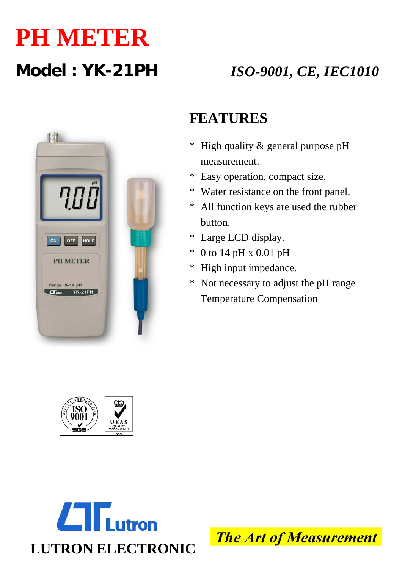## **PH METER**



## **FEATURES**

- \* High quality & general purpose pH measurement.
- \* Easy operation, compact size.
- \* Water resistance on the front panel.
- \* All function keys are used the rubber button.
- \* Large LCD display.
- \* 0 to 14 pH x 0.01 pH
- \* High input impedance.
- \* Not necessary to adjust the pH range Temperature Compensation





**The Art of Measurement**